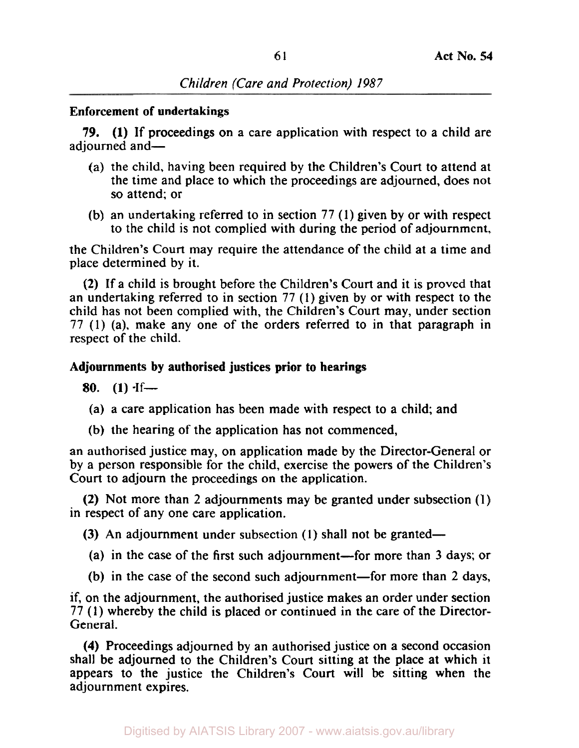## **Enforcement of undertakings**

adiourned and-79. **(1)** If proceedings on a care application with respect to a child are

- (a) the child, having been required by the Children's Court to attend at the time and place to which the proceedings are adjourned, does not so attend; or
- (b) an undertaking referred to in section 77 (1) given by or with respect to the child is not complied with during the period of adjournment,

the Children's Court may require the attendance of the child at a time and place determined by it.

(2) If a child is brought before the Children's Court and it is proved that an undertaking referred to in section 77 **(1)** given by or with respect to the child has not been complied with, the Children's Court may, under section 77 (1) (a), make any one of the orders referred to in that paragraph in respect of the child.

# **Adjournments by authorised justices prior to hearings**

80.  $(1)$  <sup>If---</sup>

- (a) a care application has been made with respect to a child; and
- (b) the hearing of the application has not commenced,

an authorised justice may, on application made by the Director-General or by a person responsible for the child, exercise the powers of the Children's Court to adjourn the proceedings on the application.

**(2)** Not more than 2 adjournments may be granted under subsection **(1)**  in respect of any one care application.

(3) An adjournment under subsection  $(1)$  shall not be granted-

- (a) in the case of the first such adjournment-for more than 3 days; or
- (b) in the case of the second such adjournment-for more than 2 days,

if, on the adjournment, the authorised justice makes an order under section 77 (1) whereby the child is placed or continued in the care of the Director-General.

**(4)** Proceedings adjourned by an authorised justice on a second occasion shall be adjourned to the Children's Court sitting at the place at which it appears to the justice the Children's Court will be sitting when the adjournment expires.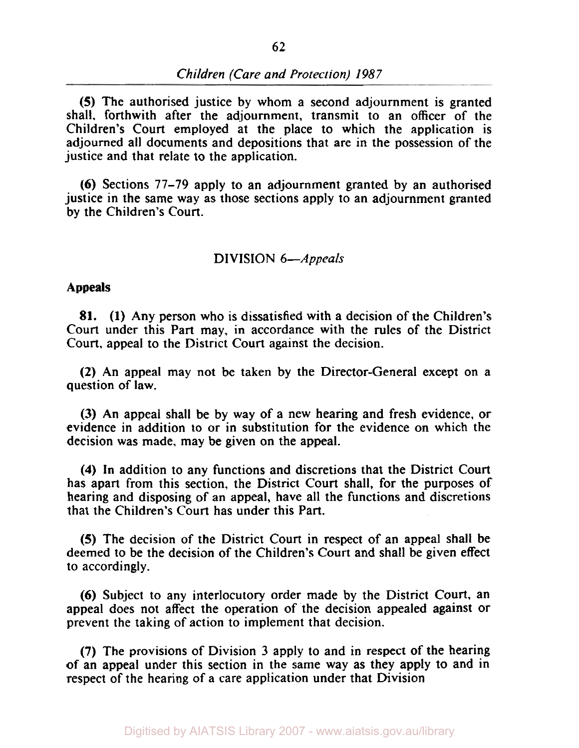**(5)** The authorised justice by whom a second adjournment is granted shall. forthwith after the adjournment, transmit to an officer of the Children's Court employed at the place to which the application is adjourned all documents and depositions that are in the possession of the justice and that relate to the application.

**(6)** Sections 77-79 apply to an adjournment granted by an authorised justice in the same way as those sections apply to an adjournment granted by the Children's **Court.** 

#### DIVISION 6-Appeals

#### **Appeals**

**81. (1)** Any person who is dissatisfied with a decision of the Children's Court under this Part may, in accordance with the rules of the District Court, appeal to the District Court against the decision.

**(2)** An appeal may not be taken by the Director-General except on a question of law.

(3) An appeal shall be by way of a new hearing and fresh evidence, or evidence in addition to or in substitution for the evidence on which the decision was made, may be given on the appeal.

**(4)** In addition to any functions and discretions that the District Court has apart from this section, the District Court shall, for the purposes of hearing and disposing of an appeal, have all the functions and discretions that the Children's Court has under this Part.

**(5)** The decision of the District Court in respect of an appeal shall be deemed to be the decision of the Children's Court and shall be given effect to accordingly.

**(6)** Subject to any interlocutory order made by the District Court, an appeal does not affect the operation of the decision appealed against or prevent the taking of action to implement that decision.

**(7)** The provisions of Division 3 apply to and in respect of the hearing of an appeal under this section in the same way as they apply to and in respect of the hearing of a care application under that Division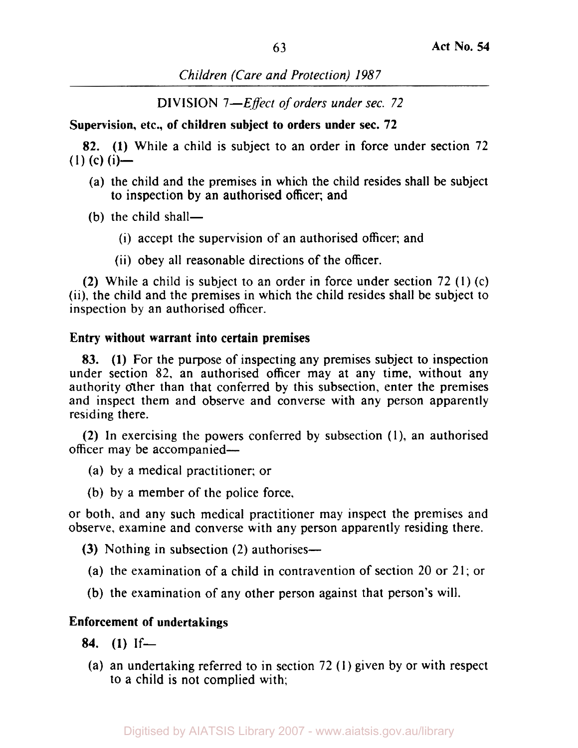*Children (Care and Protection) 1987* 

DIVISION *7-Effect* of *orders under sec. 72* 

**Supervision, etc., of children subject to orders under sec. 72** 

82. **(1)** While a child is subject to an order in force under section 72  $(1)$  (c)  $(i)$ —

- (a) the child and the premises in which the child resides shall be subject to inspection by an authorised officer: and
- $(b)$  the child shall-
	- (i) accept the supervision of an authorised officer; and
	- (ii) obey all reasonable directions of the officer.

(2) While a child is subject to an order in force under section 72 (I) (c) (ii), the child and the premises in which the child resides shall be subject to inspection by an authorised officer.

## **Entry without warrant into certain premises**

83. **(1)** For the purpose of inspecting any premises subject to inspection under section 82, an authorised officer may at any time, without any authority other than that conferred by this subsection, enter the premises and inspect them and observe and converse with any person apparently residing there.

(2) In exercising the powers conferred by subsection (1), an authorised officer may be accompanied-

- (a) by a medical practitioner; or
- (b) by a member of the police force.

or both, and any such medical practitioner may inspect the premises and observe, examine and converse with any person apparently residing there.

- (3) Nothing in subsection *(2)* authorises-
- (a) the examination of a child in contravention of section 20 or 21; or
- (b) the examination of any other person against that person's will.

# **Enforcement of undertakings**

- **84. (1)** If-
- (a) an undertaking referred to in section *72* (1) given by or with respect to a child is not complied with;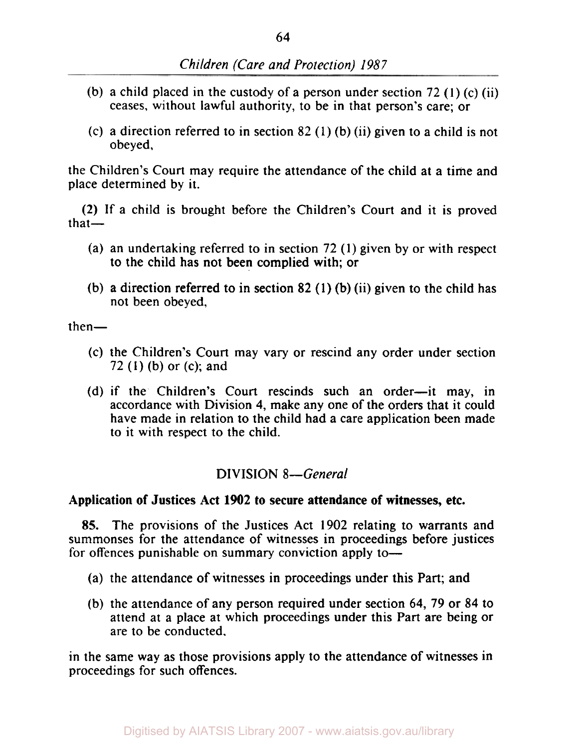- (b) a child placed in the custody of a person under section *72* **(1)** (c) (ii) ceases, without lawful authority, to be in that person's care; or
- (c) a direction referred to in section *82* (1) (b) (ii) given to a child is not obeyed,

the Children's Court may require the attendance of the child at a time and place determined by it.

(2) If a child is brought before the Children's Court and it is proved  $that-$ 

- (a) an undertaking referred to in section *72* **(1)** given by or with respect to the child has not been complied with; or
- (b) a direction referred to in section *82* **(1)** (b) (ii) given to the child has not been obeyed,

 $then-$ 

- (c) the Children's Court may vary or rescind any order under section *72* **(1)** (b) or (c); and
- (d) if the Children's Court rescinds such an order-it may, in accordance with Division **4,** make any one of the orders that it could have made in relation to the child had a care application been made to it with respect to the child.

# **DIVISION** *8-General*

## Application of Justices Act **1902** to secure attendance of witnesses, etc.

**85.** The provisions of the Justices Act 1902 relating to warrants and summonses for the attendance of witnesses in proceedings before justices for offences punishable on summary conviction apply to-

- (a) the attendance of witnesses in proceedings under this Part; and
- (b) the attendance of any person required under section **64,** 79 or **84** to attend at a place at which proceedings under this Part are being or are to be conducted.

in the same way as those provisions apply to the attendance of witnesses in proceedings for such offences.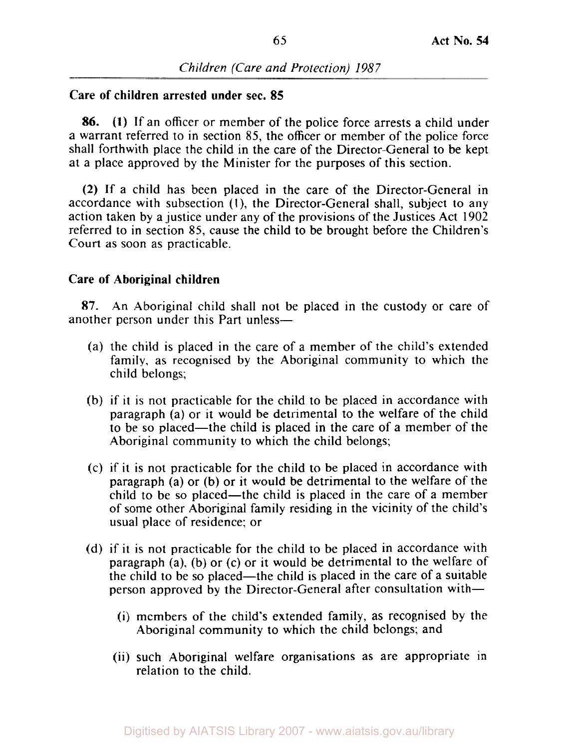## **Care of children arrested under sec. 85**

**86. (1)** If an officer or member of the police force arrests a child under a warrant referred to in section 85, the officer or member of the police force shall forthwith place the child in the care of the Director-General to be kept at a place approved by the Minister for the purposes of this section.

**(2)** If a child has been placed in the care of the Director-General in accordance with subsection (1), the Director-General shall, subject to any action taken by a justice under any of the provisions of the Justices Act 1902 referred to in section 85, cause the child to be brought before the Children's Court as soon as practicable.

# **Care of Aboriginal children**

**87.** An Aboriginal child shall not be placed in the custody or care of another person under this Part unless—

- (a) the child is placed in the care of a member of the child's extended family, as recognised by the Aboriginal community to which the child belongs;
- (b) if **it** is not practicable for the child to be placed in accordance with paragraph (a) or it would be detrimental to the welfare of the child to be **so** placed-the child is placed in the care of a member of the Aboriginal community to which the child belongs;
- (c) if it is not practicable for the child to be placed in accordance with paragraph (a) or (b) **or** it would be detrimental to the welfare of the child to be so placed-the child is placed in the care of a member of some other Aboriginal family residing in the vicinity of the child's usual place of residence; or
- (d) if it is not practicable for the child to be placed in accordance with paragraph (a), (b) or (c) or it would be detrimental to the welfare of the child to be so placed-the child is placed in the care of a suitable person approved by the Director-General after consultation with-
	- (i) members of the child's extended family, as recognised by the Aboriginal community to which the child belongs; and
	- (ii) such Aboriginal welfare organisations as are appropriate in relation to the child.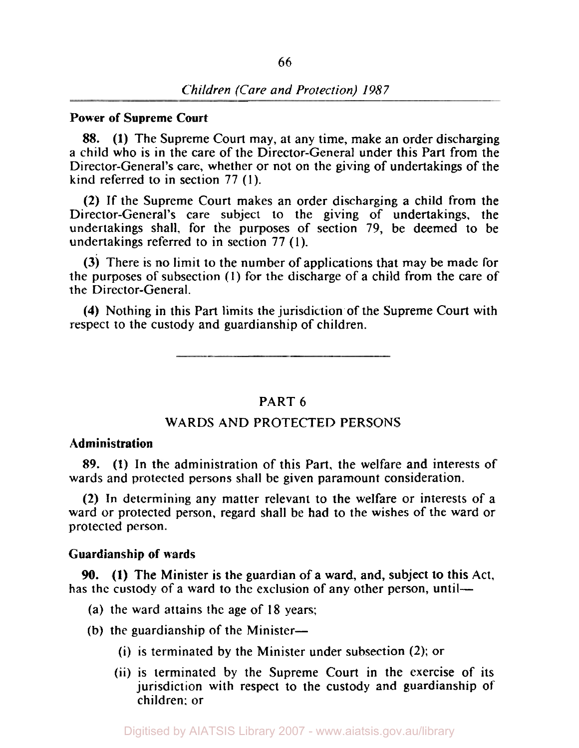#### **Power of Supreme Court**

88. **(1)** The Supreme Court may, at any time, make an order discharging a child who is in the care of the Director-General under this Part from the Director-General's care, whether or not on the giving of undertakings of the kind referred to in section 77 **(1).** 

(2) If the Supreme Court makes an order discharging a child from the Director-General's care subject to the giving of undertakings, the undertakings shall, for the purposes of section 79, be deemed to be undertakings referred to in section 77 **(1).** 

(3) There is no limit to the number of applications that may be made for the purposes of subsection (I) for the discharge of a child from the care of the Director-General.

**(4)** Nothing in this Part limits the jurisdiction of the Supreme Court with respect to the custody and guardianship of children.

# PART 6

## WARDS AND PROTECTED PERSONS

# **Administration**

89. **(1)** In the administration of this Part, the welfare and interests of wards and protected persons shall be given paramount consideration.

(2) In determining any matter relevant to the welfare or interests of a ward or protected person, regard shall be had to the wishes of the ward or protected person.

#### **Guardianship of wards**

has the custody of a ward to the exclusion of any other person, until-**90. (1)** The Minister is the guardian of a ward, and, subject to this Act,

- (a) the ward attains the age of **18** years;
- (b) the guardianship of the Minister-
	- (i) is terminated by the Minister under subsection (2); or
	- (ii) is terminated by the Supreme Court in the exercise of its jurisdiction with respect to the custody and guardianship of children: or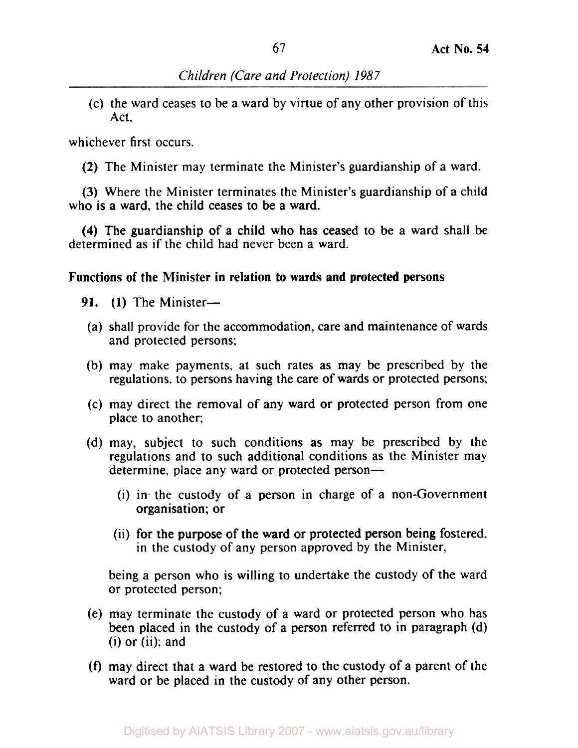(c) the ward ceases to be a ward by virtue of any other provision of this Act,

whichever first occurs.

(2) The Minister may terminate the Minister's guardianship of a ward.

(3) Where the Minister terminates the Minister's guardianship of a child who is a ward, the child ceases to be a ward.

**(4)** The guardianship of a child who has ceased to be a ward shall be determined as if the child had never been a ward.

# **Functions of the Minister in relation to wards and protected persons**

- 91.  $(1)$  The Minister-
	- (a) shall provide for the accommodation, care and maintenance of wards and protected persons;
	- (b) may make payments, at such rates as may be prescribed by the regulations, to persons having the care of wards or protected persons;
	- (c) may direct the removal of any ward or protected person from one place to another;
- (d) may, subject to such conditions as may be prescribed by the regulations and to such additional conditions as the Minister may determine, place any ward or protected person-
	- (i) in. the custody of a person in charge of a non-Government organisation; or
	- (ii) for the purpose of the ward or protected person being fostered, in the custody of any person approved by the Minister,

being a person who is willing to undertake the custody of the ward or protected person;

- (e) may terminate the custody of a ward or protected person who has been placed in the custody of a person referred to in paragraph (d)  $(i)$  or  $(ii)$ ; and
- *(f)* may direct that a ward be restored to the custody of a parent of the ward or be placed in the custody of any other person.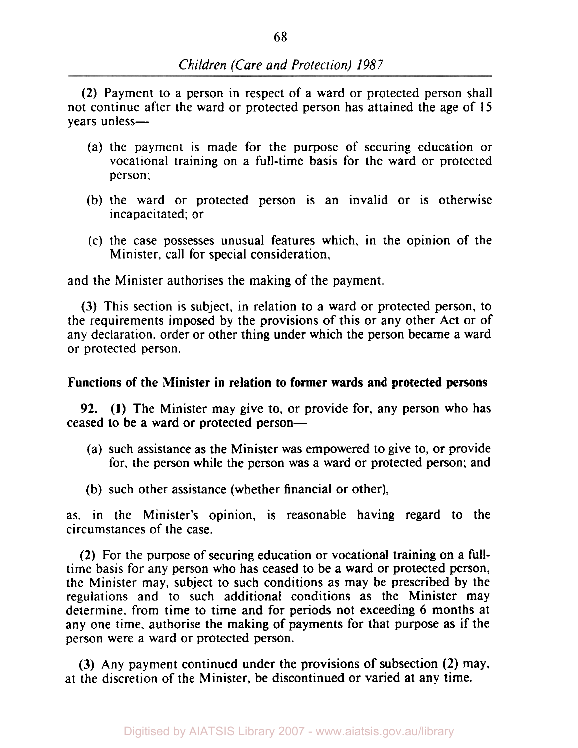(2) Payment to a person in respect of a ward or protected person shall not continue after the ward or protected person has attained the age of 15 vears unless-

- (a) the payment is made for the purpose of securing education or vocational training on a full-time basis for the ward or protected person;
- (b) the ward or protected person is an invalid or is otherwise incapacitated; or
- (c) the case possesses unusual features which, in the opinion of the Minister, call for special consideration,

and the Minister authorises the making of the payment.

(3) This section is subject, in relation to a ward or protected person, to the requirements imposed by the provisions of this or any other Act or of any declaration, order or other thing under which the person became a ward or protected person.

#### Functions of the Minister in relation to former wards and protected persons

92. (1) The Minister may give to, or provide for, any person who has ceased to be a ward or protected person-

- (a) such assistance as the Minister was empowered to give to, or provide for, the person while the person was a ward or protected person; and
- (b) such other assistance (whether financial or other),

as. in the Minister's opinion, is reasonable having regard to the circumstances of the case.

(2) For the purpose of securing education or vocational training on a fulltime basis for any person who has ceased to be a ward or protected person, the Minister may, subject to such conditions as may be prescribed by the regulations and to such additional conditions as the Minister may determine. from time to time and for periods not exceeding 6 months at any one time, authorise the making of payments for that purpose as if the person were a ward or protected person.

(3) Any payment continued under the provisions of subsection (2) may, at the discretion of the Minister, be discontinued or varied at any time.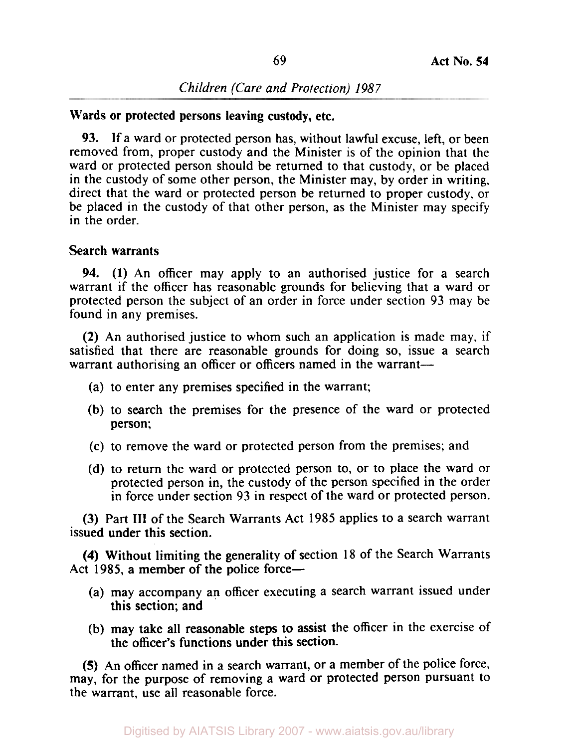### Wards or protected persons leaving custody, etc.

**93.** If a ward or protected person has, without lawful excuse, left, or been removed from, proper custody and the Minister is of the opinion that the ward or protected person should be returned to that custody, or be placed in the custody of some other person, the Minister may, by order in writing, direct that the ward or protected person be returned to proper custody, or be placed in the custody of that other person, as the Minister may specify in the order.

#### Search warrants

**94. (1)** An officer may apply to an authorised justice for a search warrant if the officer has reasonable grounds for believing that a ward or protected person the subject of an order in force under section 93 may be found in any premises.

(2) An authorised justice to whom such an application is made may, if satisfied that there are reasonable grounds for doing so, issue a search warrant authorising an officer or officers named in the warrant-

- (a) to enter any premises specified in the warrant;
- (b) to search the premises for the presence of the ward or protected person;
- (c) to remove the ward or protected person from the premises; and
- (d) to return the ward or protected person to, or to place the ward or protected person in, the custody of the person specified in the order in force under section 93 in respect of the ward or protected person.

**(3)** Part **III** of the Search Warrants Act 1985 applies to a search warrant issued under this section.

**(4)** Without limiting the generality of section 18 of the Search Warrants Act 1985, a member of the police force-

- (a) may accompany an officer executing a search warrant issued under this section; and
- (b) may take all reasonable steps to assist the officer in the exercise of the officer's functions under this section.

**(5)** An officer named in a search warrant, or a member of the police force, may, for the purpose of removing a ward or protected person pursuant to the warrant, use all reasonable force.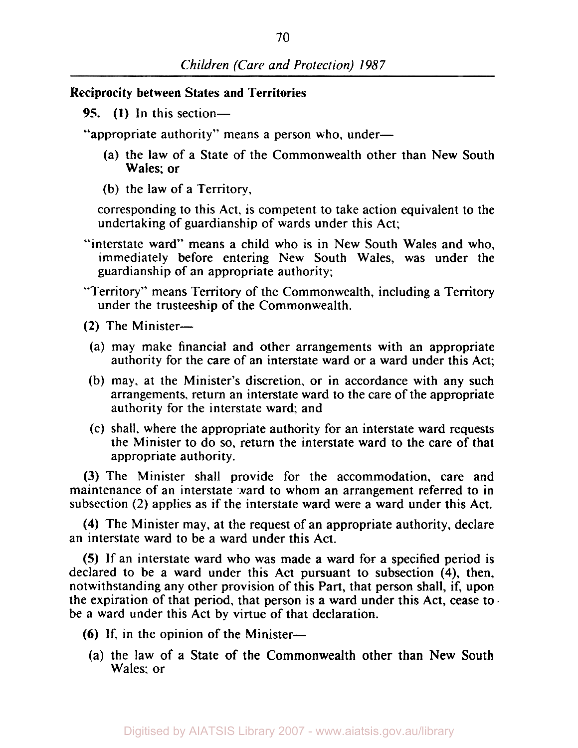# **Reciprocity between States and Territories**

*95.* **(1)** In this section-

"appropriate authority" means a person who, under-

- (a) the law of a State of the Commonwealth other than New South Wales; or
- (b) the law of a Territory,

corresponding to this Act, is competent to take action equivalent to the undertaking of guardianship of wards under this Act;

- "interstate ward" means a child who is in New South Wales and who, immediately before entering New South Wales, was under the guardianship of an appropriate authority;
- "Territory" means Territory of the Commonwealth, including a Territory under the trusteeship of the Commonwealth.
- $(2)$  The Minister-
- (a) may make financial and other arrangements with an appropriate authority for the care of an interstate ward or a ward under this Act;
- (b) may, at the Minister's discretion, or in accordance with any such arrangements, return an interstate ward to the care of the appropriate authority for the interstate ward; and
- (c) shall, where the appropriate authority for an interstate ward requests the Minister to do so, return the interstate ward to the care of that appropriate authority.

(3) The Minister shall provide for the accommodation, care and maintenance of an interstate ward to whom an arrangement referred to in subsection (2) applies as if the interstate ward were a ward under this Act.

**(4)** The Minister may, at the request of an appropriate authority, declare an interstate ward to be a ward under this Act.

*(5)* If an interstate ward who was made a ward for a specified period is declared to be a ward under this Act pursuant to subsection **(4).** then, notwithstanding any other provision of this Part, that person shall, if, upon the expiration of that period, that person is a ward under this Act, cease to. be a ward under this Act by virtue of that declaration.

- *(6)* If, in the opinion of the Minister-
- (a) the law of a State of the Commonwealth other than New South Wales; or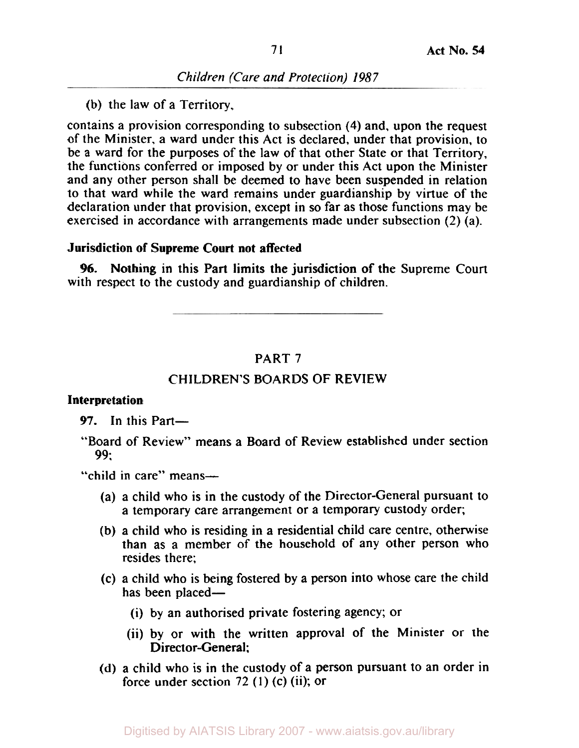(b) the law of a Territory,

contains a provision corresponding to subsection **(4)** and, upon the request of the Minister. a ward under this Act is declared, under that provision, to be a ward for the purposes of the law of that other State or that Territory, the functions conferred or imposed by or under this Act upon the Minister and any other person shall be deemed to have been suspended in relation to that ward while the ward remains under guardianship by virtue of the declaration under that provision, except in so far as those functions may be exercised in accordance with arrangements made under subsection (2) (a).

# **Jurisdiction of Supreme Court not affected**

with respect to the custody and guardianship of children. *96.* Nothing in this Part limits the jurisdiction of the Supreme Court

### PART 7

#### CHILDREN'S BOARDS OF REVIEW

#### **Interpretation**

97. In this Part-

"Board of Review" means a Board of Review established under section *99;* 

"child in care" means-

- (a) a child who is in the custody of the Director-General pursuant to a temporary care arrangement or a temporary custody order;
- (b) a child who is residing in a residential child care centre, otherwise than as a member of the household of any other person who resides there;
- (c) a child who is being fostered by a person into whose care the child has been placed—
	- (i) by an authorised private fostering agency; or
	- (ii) by or with the written approval of the Minister or the Director-General:
- (d) a child who is in the custody of a person pursuant to an order in force under section  $72$  (1) (c) (ii); or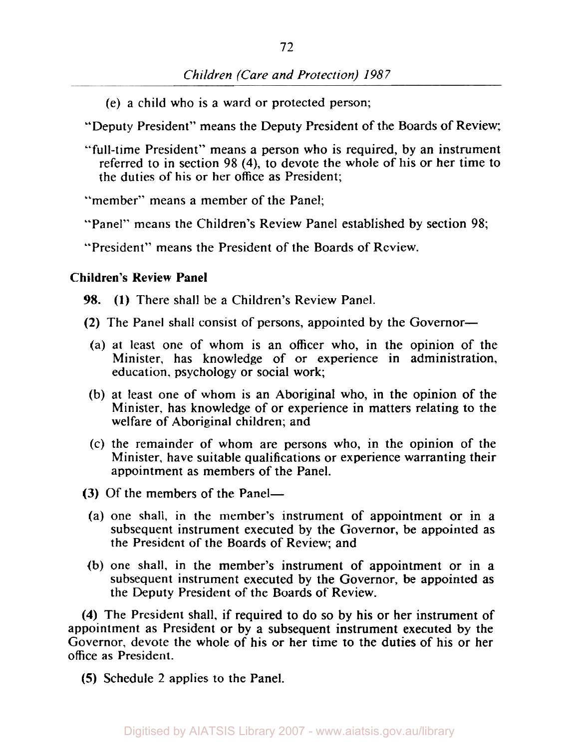(e) a child who is a ward or protected person;

"Deputy President" means the Deputy President of the Boards of Review;

"full-time President" means a person who is required, by an instrument referred to in section 98 **(4),** to devote the whole of his or her time to the duties of his or her office as President;

"member" means a member of the Panel:

"Panel" means the Children's Review Panel established by section 98;

"President" means the President of the Boards of Review.

## **Children's Review Panel**

98. (1) There shall be a Children's Review Panel.

- (2) The Panel shall consist of persons, appointed by the Governor-
- (a) at least one of whom is an officer who, in the opinion of the Minister, has knowledge of or experience in administration, education, psychology or social work;
- (b) at least one of whom is an Aboriginal who, in the opinion of the Minister, has knowledge of or experience in matters relating to the welfare of Aboriginal children; and
- (c) the remainder of whom are persons who, in the opinion of the Minister, have suitable qualifications or experience warranting their appointment as members of the Panel.
- (3) Of the members of the Panel-
	- (a) one shall, in the member's instrument of appointment or in a subsequent instrument executed by the Governor, be appointed as the President of the Boards of Review; and
- (b) one shall, in the member's instrument of appointment or in a subsequent instrument executed by the Governor, be appointed as the Deputy President of the Boards of Review.

**(4)** The President shall, if required to do so by his or her instrument of appointment as President or by **a** subsequent instrument executed by the Governor, devote the whole of his or her time to the duties of his or her office as President.

*(5)* Schedule 2 applies to the Panel.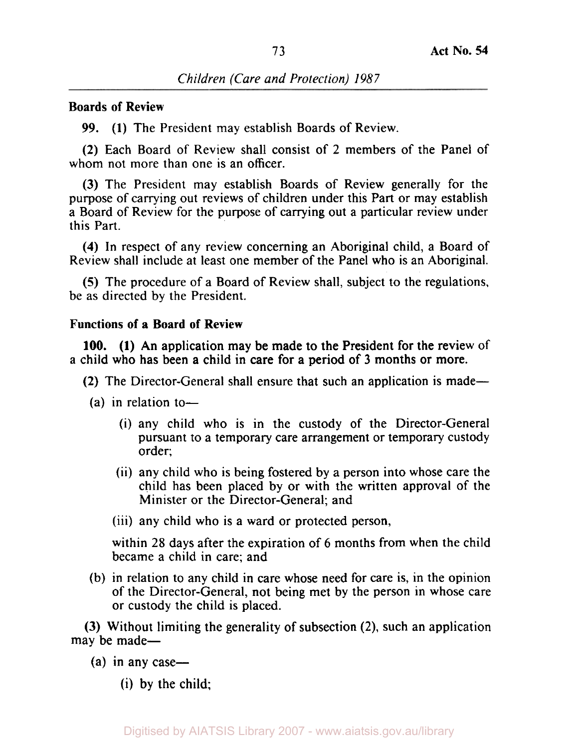# **Boards of Review**

**99. (1)** The President may establish Boards of Review.

**(2)** Each Board of Review shall consist of **2** members of the Panel of whom not more than one is an officer.

**(3)** The President may establish Boards of Review generally for the purpose of carrying out reviews of children under this Part or may establish a Board of Review for the purpose of carrying out a particular review under this Part.

**(4)** In respect of any review concerning an Aboriginal child, a Board of Review shall include at least one member of the Panel who is an Aboriginal.

*(5)* The procedure of a Board of Review shall, subject to the regulations, be as directed by the President.

## **Functions of a Board of Review**

a child who has been a child in care for a period of **3** months or more. **100. (1)** An application may be made to the President **for** the review of

**(2)** The Director-General shall ensure that such an application is made-

- $(a)$  in relation to-
	- (i) any child who is in the custody of the Director-General pursuant to a temporary care arrangement or temporary custody order;
	- (ii) any child who is being fostered by a person into whose care the child has been placed by or with the written approval of the Minister or the Director-General; and
	- (iii) any child who is a ward or protected person,

within **28** days after the expiration of 6 months from when the child became a child in care; and

(b) in relation to any child in care whose need **for** care is, in the opinion of the Director-General, not being met by the person in whose care or custody the child is placed.

**(3)** Without limiting the generality of subsection **(2),** such an application may be made-

- $(a)$  in any case—
	- (i) by the child;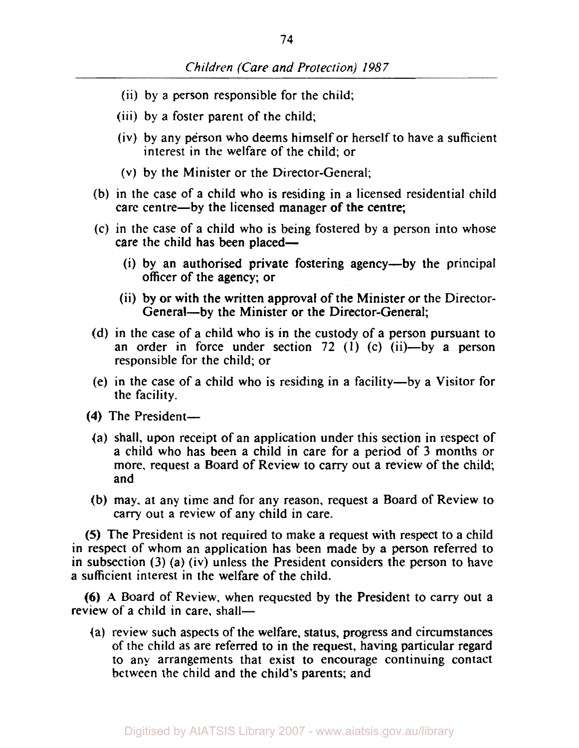- (ii) by a person responsible for the child;
- (iii) by a foster parent of the child;
- (iv) by any person who deems himself or herself to have a sufficient interest in the welfare of the child; or
- (V) by the Minister or the Director-General;
- (b) in the case of a child who is residing in a licensed residential child care centre-by the licensed manager of the centre;
- (c) in the case of a child who is being fostered by a person into whose care the child has been placed-
	- (i) by an authorised private fostering agency-by the principal officer of the agency; or
	- (ii) by or with the written approval of the Minister or the Director- General-by the Minister or the Director-General;
- (d) in the case of a child who is in the custody of a person pursuant to an order in force under section 72 **(1)** (c) (ii)-by a person responsible for the child; or
- (e) in the case of a child who is residing in a facility-by a Visitor for the facility.
- **(4)** The President-
	- (a) shall. upon receipt of an application under this section in respect of a child who has been a child in care for a period of 3 months or more, request a Board of Review to carry out a review of the child; and
- (b) may. at any time and for any reason, request a Board of Review to carry out a review of any child in care.

*(5)* The President is not required to make a request with respect to a child in respect of whom an application has been made by a person referred to in subsection **(3)** (a) (iv) unless the President considers the person to have a sufficient interest in the welfare of the child.

*(6)* **A** Board of Review, when requested by the President to carry out a review of a child in care, shall-

(a) review such aspects of the welfare, status, progress and circumstances of the child as are referred to in the request, having particular regard to any arrangements that exist to encourage continuing contact between the child and the child's parents; and